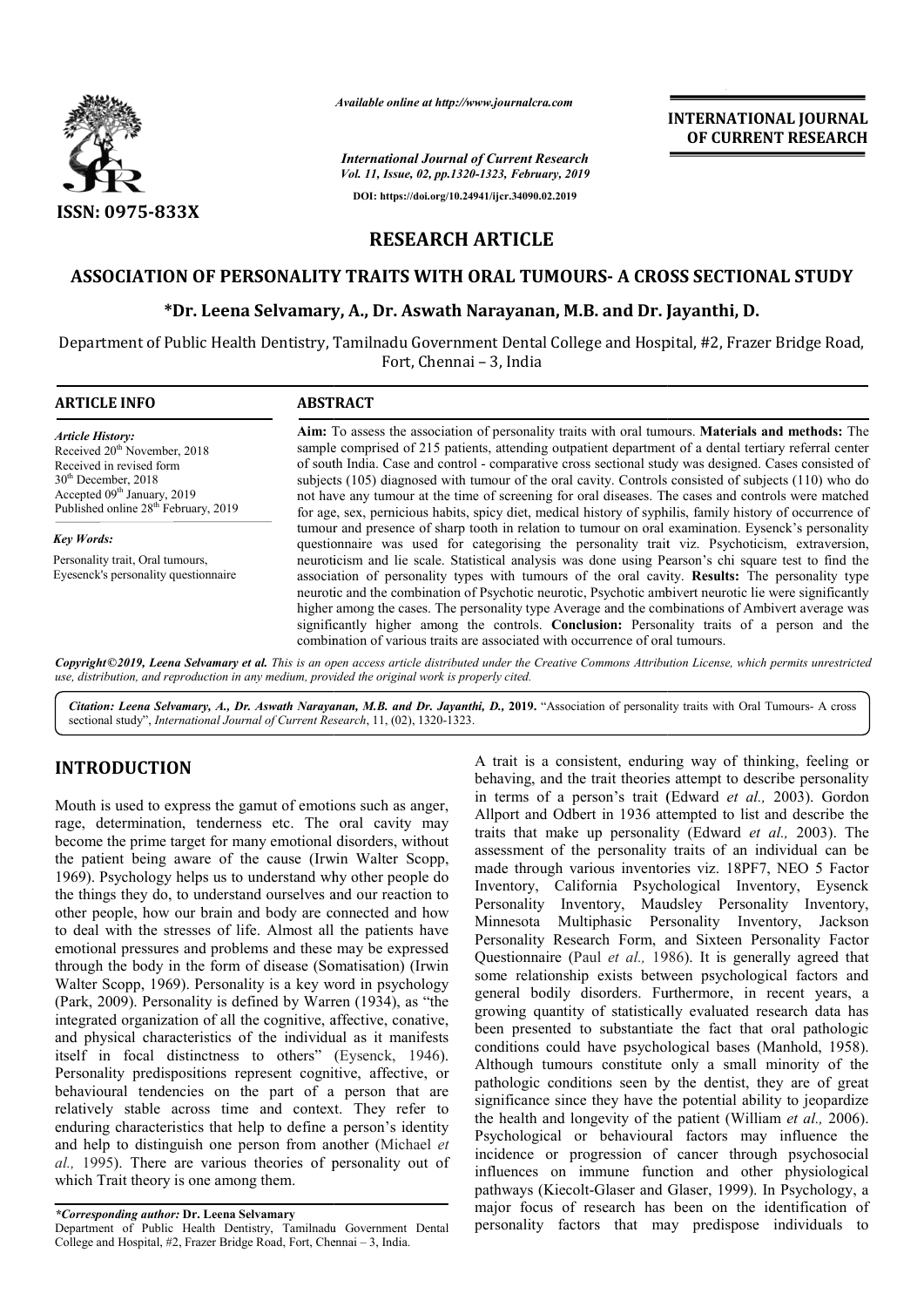

*Available online at http://www.journalcra.com*

*International Journal of Current Research*

*Vol. 11, Issue, 02, pp.1320-1323, February, 2019* **DOI: https://doi.org/10.24941/ijcr.34090.02.2019**

## **INTERNATIONAL JOURNAL OF CURRENT RESEARCH**

# **RESEARCH ARTICLE**

### **ASSOCIATION OF PERSONALITY TRAITS WITH ORAL TUMOURS TUMOURS- A CROSS SECTIONAL STUDY**

## **\*Dr. Leena Selvamary Dr. Selvamary, A., Dr. Aswath Narayanan, M.B. and Dr. Jayanthi Jayanthi, D.**

Department of Public Health Dentistry, Tamilnadu Government Dental College and Hospital, #2, Frazer Bridge Road, Fort, Chennai – 3, India

| <b>ARTICLE INFO</b>                                                                                                                                                                                                     | <b>ABSTRACT</b>                                                                                                                                                                                                                                                                                                                                                                                                                                                                                                                                                                                                                                          |  |  |  |  |  |
|-------------------------------------------------------------------------------------------------------------------------------------------------------------------------------------------------------------------------|----------------------------------------------------------------------------------------------------------------------------------------------------------------------------------------------------------------------------------------------------------------------------------------------------------------------------------------------------------------------------------------------------------------------------------------------------------------------------------------------------------------------------------------------------------------------------------------------------------------------------------------------------------|--|--|--|--|--|
| <b>Article History:</b><br>Received 20 <sup>th</sup> November, 2018<br>Received in revised form<br>$30th$ December, 2018<br>Accepted 09 <sup>th</sup> January, 2019<br>Published online 28 <sup>th</sup> February, 2019 | Aim: To assess the association of personality traits with oral tumours. <b>Materials and methods:</b> The<br>sample comprised of 215 patients, attending outpatient department of a dental tertiary referral center<br>of south India. Case and control - comparative cross sectional study was designed. Cases consisted of<br>subjects (105) diagnosed with tumour of the oral cavity. Controls consisted of subjects (110) who do<br>not have any tumour at the time of screening for oral diseases. The cases and controls were matched<br>for age, sex, pernicious habits, spicy diet, medical history of syphilis, family history of occurrence of |  |  |  |  |  |
| Key Words:                                                                                                                                                                                                              | tumour and presence of sharp tooth in relation to tumour on oral examination. Eysenck's personality<br>questionnaire was used for categorising the personality trait viz. Psychoticism, extraversion,                                                                                                                                                                                                                                                                                                                                                                                                                                                    |  |  |  |  |  |
| Personality trait, Oral tumours,<br>Eyesenck's personality questionnaire                                                                                                                                                | neuroticism and lie scale. Statistical analysis was done using Pearson's chi square test to find the<br>association of personality types with tumours of the oral cavity. Results: The personality type<br>neurotic and the combination of Psychotic neurotic, Psychotic ambivert neurotic lie were significantly<br>higher among the cases. The personality type Average and the combinations of Ambivert average was<br>significantly higher among the controls. Conclusion: Personality traits of a person and the<br>combination of various traits are associated with occurrence of oral tumours.                                                   |  |  |  |  |  |
|                                                                                                                                                                                                                         | $\mathcal{L}$ , and a solution of the contract of the contract of the contract of the contract of the contract of the contract of the contract of the contract of the contract of the contract of the contract of the contract of                                                                                                                                                                                                                                                                                                                                                                                                                        |  |  |  |  |  |

Copyright©2019, Leena Selvamary et al. This is an open access article distributed under the Creative Commons Attribution License, which permits unrestrictea *use, distribution, and reproduction in any medium, provided the original work is properly cited.*

Citation: Leena Selvamary, A., Dr. Aswath Narayanan, M.B. and Dr. Jayanthi, D., 2019. "Association of personality traits with Oral Tumours- A cross sectional study", *International Journal of Current Research* , 11, (02), 1320-1323.

# **INTRODUCTION**

Mouth is used to express the gamut of emotions such as anger, rage, determination, tenderness etc. The oral cavity may become the prime target for many emotional disorders, without the patient being aware of the cause (Irwin Walter Scopp, 1969). Psychology helps us to understand why other people do the things they do, to understand ourselves and our reaction to other people, how our brain and body are connected and how to deal with the stresses of life. Almost all the patients have emotional pressures and problems and these may be expressed through the body in the form of disease (Somatisation) (Irwin Walter Scopp, 1969). Personality is a key word in psychology (Park, 2009). Personality is defined by Warren (1934), as "the integrated organization of all the cognitive, affective, conative, and physical characteristics of the individual as it manifests Walter Scopp, 1969). Personality is a key word in psychology (Park, 2009). Personality is defined by Warren (1934), as "the integrated organization of all the cognitive, affective, conative, and physical characteristics of Personality predispositions represent cognitive, affective, or behavioural tendencies on the part of a person that are relatively stable across time and context. They refer to enduring characteristics that help to define a person's identity and help to distinguish one person from another (Michael *et al.,* 1995). There are various theories of personality out of which Trait theory is one among them.

A trait is a consistent, enduring way of thinking, feeling or behaving, and the trait theories attempt to describe personality in terms of a person's trait ( (Edward *et al.,* 2003). Gordon Allport and Odbert in 1936 attempted to list and describe the Allport and Odbert in 1936 attempted to list and describe the traits that make up personality (Edward *et al., 2003)*. The assessment of the personality traits of an individual can be made through various inventories viz. 18PF7, NEO 5 Factor Inventory, California Psychological Inventory, Eysenck Personality Inventory, Maudsley Personality Inventory, Minnesota Multiphasic Personality Inventory, Jackson Personality Research Form, and Sixteen Personality Factor Questionnaire (Paul *et al.*, 1986). It is generally agreed that some relationship exists between psychological factors and some relationship exists between psychological factors and general bodily disorders. Furthermore, in recent years, a growing quantity of statistically evaluated research data has growing quantity of statistically evaluated research data has<br>been presented to substantiate the fact that oral pathologic conditions could have psychological bases (Manhold, 1958). Although tumours constitute only a small minority of the pathologic conditions seen by the dentist, they are of great significance since they have the potential ability to jeopardize the health and longevity of the patient (William *et al.,* 2006). Psychological or behavioural factors may influence the incidence or progression of cancer through psychosocial influences on immune function and other physiological pathways (Kiecolt-Glaser and Glaser, 1999). In Psychology, a major focus of research has been on the identification of major focus of research has been on the identification of personality factors that may predispose individuals to assessment of the personality traits of an individual can be made through various inventories viz. 18PF7, NEO 5 Factor Inventory, California Psychological Inventory, Eysenck Personality Inventory, Minnesota Multiphasic Per ough tumours constitute only a small minority of ologic conditions seen by the dentist, they are of g<br>ificance since they have the potential ability to jeopar r behavioural factors may influence the ogression of cancer through psychosocial mmune function and other physiological lt-Glaser and Glaser, 1999). In Psychology, a

*<sup>\*</sup>Corresponding author:* **Dr. Leena Selvamary**

Department of Public Health Dentistry, Tamilnadu Government Dental College and Hospital, #2, Frazer Bridge Road, Fort, Chennai – 3, India.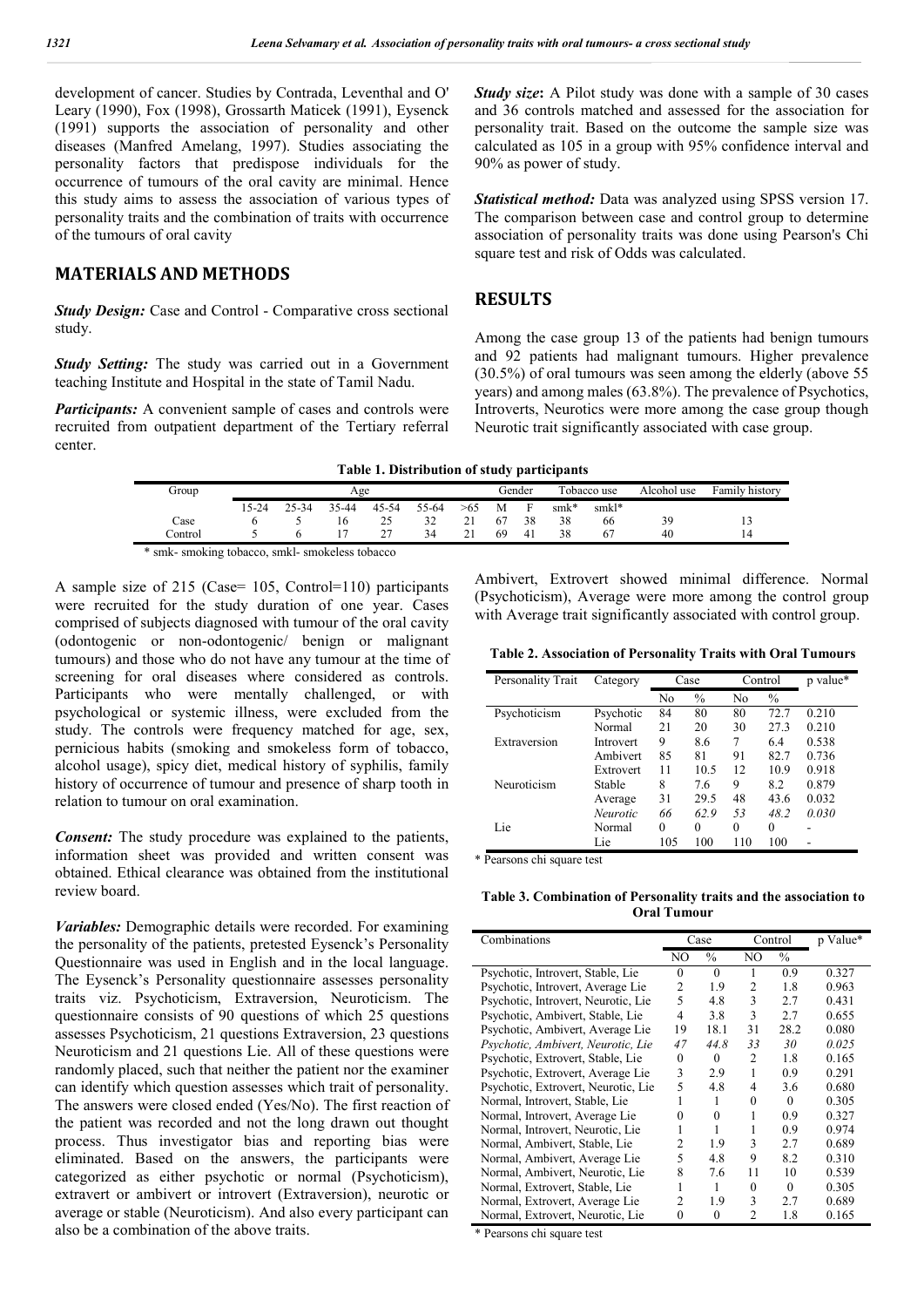development of cancer. Studies by Contrada, Leventhal and O' Leary (1990), Fox (1998), Grossarth Maticek (1991), Eysenck (1991) supports the association of personality and other diseases (Manfred Amelang, 1997). Studies associating the personality factors that predispose individuals for the occurrence of tumours of the oral cavity are minimal. Hence this study aims to assess the association of various types of personality traits and the combination of traits with occurrence of the tumours of oral cavity

#### **MATERIALS AND METHODS**

*Study Design:* Case and Control - Comparative cross sectional study.

*Study Setting:* The study was carried out in a Government teaching Institute and Hospital in the state of Tamil Nadu.

*Participants:* A convenient sample of cases and controls were recruited from outpatient department of the Tertiary referral center.

*Study size***:** A Pilot study was done with a sample of 30 cases and 36 controls matched and assessed for the association for personality trait. Based on the outcome the sample size was calculated as 105 in a group with 95% confidence interval and 90% as power of study.

*Statistical method:* Data was analyzed using SPSS version 17. The comparison between case and control group to determine association of personality traits was done using Pearson's Chi square test and risk of Odds was calculated.

#### **RESULTS**

Among the case group 13 of the patients had benign tumours and 92 patients had malignant tumours. Higher prevalence (30.5%) of oral tumours was seen among the elderly (above 55 years) and among males (63.8%). The prevalence of Psychotics, Introverts, Neurotics were more among the case group though Neurotic trait significantly associated with case group.

| Group                                           | Age   |       |       | Gender |       | Tobacco use |    | Alcohol use | Family history |       |    |                 |
|-------------------------------------------------|-------|-------|-------|--------|-------|-------------|----|-------------|----------------|-------|----|-----------------|
|                                                 | 15-24 | 25-34 | 35-44 | 45-54  | 55-64 | >65         | M  |             | $smk*$         | smkl* |    |                 |
| Case                                            |       |       | 16    | 25     | 32    |             | 67 | 38          | 38             | 66    | 39 |                 |
| Control                                         |       |       |       | 27     | 34    |             | 69 | 41          | 38             | 67    | 40 | $\overline{14}$ |
| * smk- smoking tobacco, smkl- smokeless tobacco |       |       |       |        |       |             |    |             |                |       |    |                 |

A sample size of 215 (Case= 105, Control=110) participants were recruited for the study duration of one year. Cases comprised of subjects diagnosed with tumour of the oral cavity (odontogenic or non-odontogenic/ benign or malignant tumours) and those who do not have any tumour at the time of screening for oral diseases where considered as controls. Participants who were mentally challenged, or with psychological or systemic illness, were excluded from the study. The controls were frequency matched for age, sex, pernicious habits (smoking and smokeless form of tobacco, alcohol usage), spicy diet, medical history of syphilis, family history of occurrence of tumour and presence of sharp tooth in relation to tumour on oral examination.

*Consent:* The study procedure was explained to the patients, information sheet was provided and written consent was obtained. Ethical clearance was obtained from the institutional review board.

*Variables:* Demographic details were recorded. For examining the personality of the patients, pretested Eysenck's Personality Questionnaire was used in English and in the local language. The Eysenck's Personality questionnaire assesses personality traits viz. Psychoticism, Extraversion, Neuroticism. The questionnaire consists of 90 questions of which 25 questions assesses Psychoticism, 21 questions Extraversion, 23 questions Neuroticism and 21 questions Lie. All of these questions were randomly placed, such that neither the patient nor the examiner can identify which question assesses which trait of personality. The answers were closed ended (Yes/No). The first reaction of the patient was recorded and not the long drawn out thought process. Thus investigator bias and reporting bias were eliminated. Based on the answers, the participants were categorized as either psychotic or normal (Psychoticism), extravert or ambivert or introvert (Extraversion), neurotic or average or stable (Neuroticism). And also every participant can also be a combination of the above traits.

Ambivert, Extrovert showed minimal difference. Normal (Psychoticism), Average were more among the control group with Average trait significantly associated with control group.

**Table 2. Association of Personality Traits with Oral Tumours**

| Personality Trait | Category        |          | Case          |     | Control       | p value* |
|-------------------|-----------------|----------|---------------|-----|---------------|----------|
|                   |                 | No       | $\frac{0}{0}$ | No  | $\frac{0}{0}$ |          |
| Psychoticism      | Psychotic       | 84       | 80            | 80  | 72.7          | 0.210    |
|                   | Normal          | 21       | 20            | 30  | 27.3          | 0.210    |
| Extraversion      | Introvert       | 9        | 8.6           | 7   | 6.4           | 0.538    |
|                   | Ambivert        | 85       | 81            | 91  | 82.7          | 0.736    |
|                   | Extrovert       | 11       | 10.5          | 12  | 10.9          | 0.918    |
| Neuroticism       | Stable          | 8        | 7.6           | 9   | 8.2           | 0.879    |
|                   | Average         | 31       | 29.5          | 48  | 43.6          | 0.032    |
|                   | <b>Neurotic</b> | 66       | 629           | 53  | 48.2          | 0.030    |
| Lie               | Normal          | $\theta$ | 0             | 0   | 0             |          |
|                   | Lie             | 105      | 100           | 110 | 100           |          |

\* Pearsons chi square test

**Table 3. Combination of Personality traits and the association to Oral Tumour**

| Combinations                        | Case |               | Control  |               | p Value* |
|-------------------------------------|------|---------------|----------|---------------|----------|
|                                     | NO   | $\frac{0}{0}$ | NO       | $\frac{0}{0}$ |          |
| Psychotic, Introvert, Stable, Lie   | 0    | $\Omega$      |          | 0.9           | 0.327    |
| Psychotic, Introvert, Average Lie   | 2    | 1.9           | 2        | 1.8           | 0.963    |
| Psychotic, Introvert, Neurotic, Lie | 5    | 4.8           | 3        | 2.7           | 0.431    |
| Psychotic, Ambivert, Stable, Lie    | 4    | 3.8           | 3        | 2.7           | 0.655    |
| Psychotic, Ambivert, Average Lie    | 19   | 18.1          | 31       | 28.2          | 0.080    |
| Psychotic, Ambivert, Neurotic, Lie  | 47   | 44.8          | 33       | 30            | 0.025    |
| Psychotic, Extrovert, Stable, Lie   | 0    | $\Omega$      | 2        | 1.8           | 0.165    |
| Psychotic, Extrovert, Average Lie   | 3    | 2.9           | 1        | 0.9           | 0.291    |
| Psychotic, Extrovert, Neurotic, Lie | 5    | 4.8           | 4        | 3.6           | 0.680    |
| Normal, Introvert, Stable, Lie      |      | 1             | $\Omega$ | $\Omega$      | 0.305    |
| Normal, Introvert, Average Lie      | 0    | $\theta$      |          | 0.9           | 0.327    |
| Normal, Introvert, Neurotic, Lie    |      | 1             | 1        | 0.9           | 0.974    |
| Normal, Ambivert, Stable, Lie       | 2    | 1.9           | 3        | 2.7           | 0.689    |
| Normal, Ambivert, Average Lie       | 5    | 4.8           | 9        | 8.2           | 0.310    |
| Normal, Ambivert, Neurotic, Lie     | 8    | 7.6           | 11       | 10            | 0.539    |
| Normal, Extrovert, Stable, Lie      |      | 1             | 0        | $\Omega$      | 0.305    |
| Normal, Extrovert, Average Lie      | 2    | 1.9           | 3        | 2.7           | 0.689    |
| Normal, Extrovert, Neurotic, Lie    | 0    | 0             | 2        | 1.8           | 0.165    |

\* Pearsons chi square test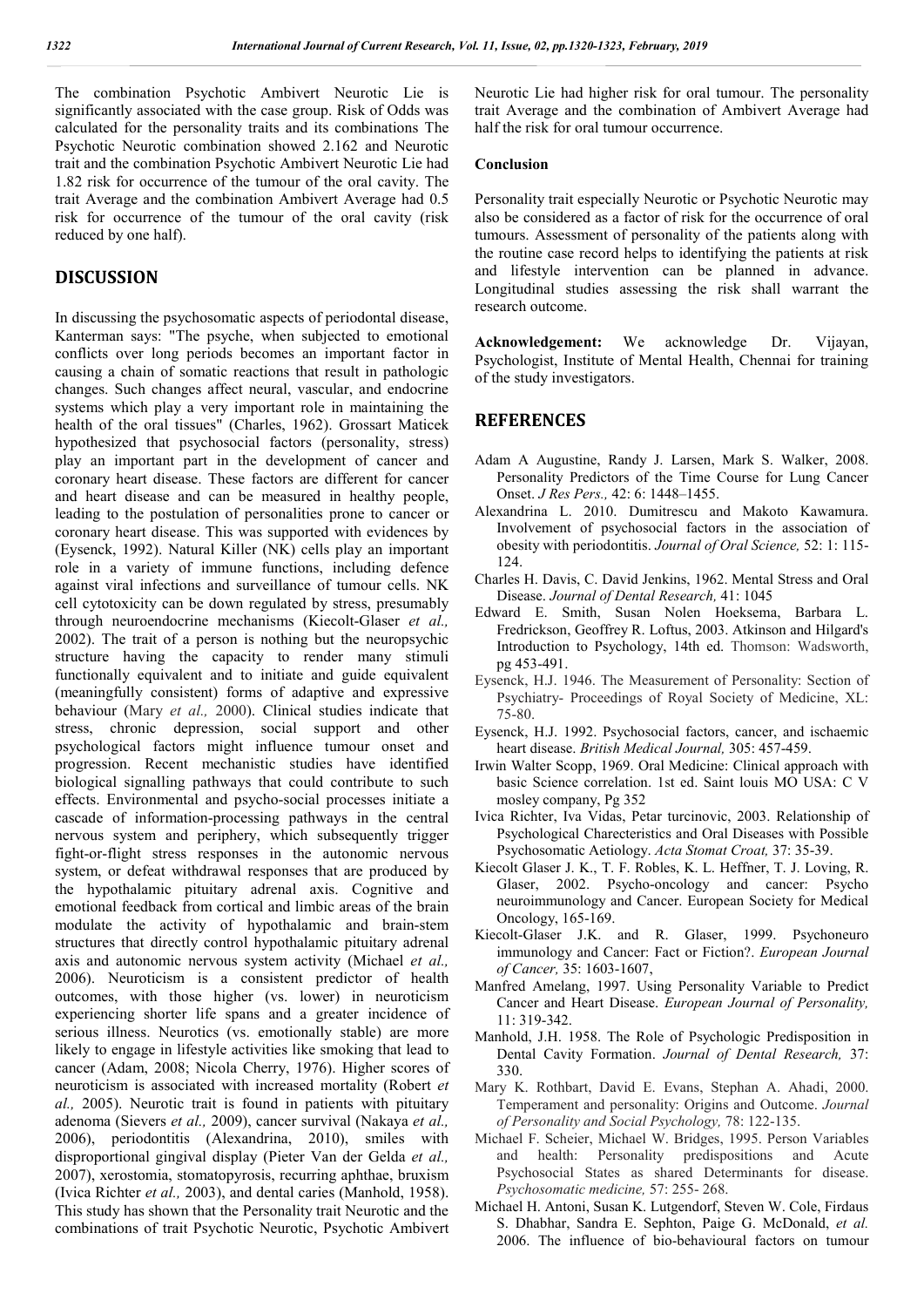The combination Psychotic Ambivert Neurotic Lie is significantly associated with the case group. Risk of Odds was calculated for the personality traits and its combinations The Psychotic Neurotic combination showed 2.162 and Neurotic trait and the combination Psychotic Ambivert Neurotic Lie had 1.82 risk for occurrence of the tumour of the oral cavity. The trait Average and the combination Ambivert Average had 0.5 risk for occurrence of the tumour of the oral cavity (risk reduced by one half).

#### **DISCUSSION**

In discussing the psychosomatic aspects of periodontal disease, Kanterman says: "The psyche, when subjected to emotional conflicts over long periods becomes an important factor in causing a chain of somatic reactions that result in pathologic changes. Such changes affect neural, vascular, and endocrine systems which play a very important role in maintaining the health of the oral tissues" (Charles, 1962). Grossart Maticek hypothesized that psychosocial factors (personality, stress) play an important part in the development of cancer and coronary heart disease. These factors are different for cancer and heart disease and can be measured in healthy people, leading to the postulation of personalities prone to cancer or coronary heart disease. This was supported with evidences by (Eysenck, 1992). Natural Killer (NK) cells play an important role in a variety of immune functions, including defence against viral infections and surveillance of tumour cells. NK cell cytotoxicity can be down regulated by stress, presumably through neuroendocrine mechanisms (Kiecolt-Glaser *et al.,*  2002). The trait of a person is nothing but the neuropsychic structure having the capacity to render many stimuli functionally equivalent and to initiate and guide equivalent (meaningfully consistent) forms of adaptive and expressive behaviour (Mary *et al.,* 2000). Clinical studies indicate that stress, chronic depression, social support and other psychological factors might influence tumour onset and progression. Recent mechanistic studies have identified biological signalling pathways that could contribute to such effects. Environmental and psycho-social processes initiate a cascade of information-processing pathways in the central nervous system and periphery, which subsequently trigger fight-or-flight stress responses in the autonomic nervous system, or defeat withdrawal responses that are produced by the hypothalamic pituitary adrenal axis. Cognitive and emotional feedback from cortical and limbic areas of the brain modulate the activity of hypothalamic and brain-stem structures that directly control hypothalamic pituitary adrenal axis and autonomic nervous system activity (Michael *et al.,*  2006). Neuroticism is a consistent predictor of health outcomes, with those higher (vs. lower) in neuroticism experiencing shorter life spans and a greater incidence of serious illness. Neurotics (vs. emotionally stable) are more likely to engage in lifestyle activities like smoking that lead to cancer (Adam, 2008; Nicola Cherry, 1976). Higher scores of neuroticism is associated with increased mortality (Robert *et al.,* 2005). Neurotic trait is found in patients with pituitary adenoma (Sievers *et al.,* 2009), cancer survival (Nakaya *et al.,*  2006), periodontitis (Alexandrina, 2010), smiles with disproportional gingival display (Pieter Van der Gelda *et al.,*  2007), xerostomia, stomatopyrosis, recurring aphthae, bruxism (Ivica Richter *et al.,* 2003), and dental caries (Manhold, 1958). This study has shown that the Personality trait Neurotic and the combinations of trait Psychotic Neurotic, Psychotic Ambivert

Neurotic Lie had higher risk for oral tumour. The personality trait Average and the combination of Ambivert Average had half the risk for oral tumour occurrence.

#### **Conclusion**

Personality trait especially Neurotic or Psychotic Neurotic may also be considered as a factor of risk for the occurrence of oral tumours. Assessment of personality of the patients along with the routine case record helps to identifying the patients at risk and lifestyle intervention can be planned in advance. Longitudinal studies assessing the risk shall warrant the research outcome.

**Acknowledgement:** We acknowledge Dr. Vijayan, Psychologist, Institute of Mental Health, Chennai for training of the study investigators.

### **REFERENCES**

- Adam A Augustine, Randy J. Larsen, Mark S. Walker, 2008. Personality Predictors of the Time Course for Lung Cancer Onset. *J Res Pers.,* 42: 6: 1448–1455.
- Alexandrina L. 2010. Dumitrescu and Makoto Kawamura. Involvement of psychosocial factors in the association of obesity with periodontitis. *Journal of Oral Science,* 52: 1: 115- 124.
- Charles H. Davis, C. David Jenkins, 1962. Mental Stress and Oral Disease. *Journal of Dental Research,* 41: 1045
- Edward E. Smith, Susan Nolen Hoeksema, Barbara L. Fredrickson, Geoffrey R. Loftus, 2003. Atkinson and Hilgard's Introduction to Psychology, 14th ed. Thomson: Wadsworth, pg 453-491.
- Eysenck, H.J. 1946. The Measurement of Personality: Section of Psychiatry- Proceedings of Royal Society of Medicine, XL: 75-80.
- Eysenck, H.J. 1992. Psychosocial factors, cancer, and ischaemic heart disease. *British Medical Journal,* 305: 457-459.
- Irwin Walter Scopp, 1969. Oral Medicine: Clinical approach with basic Science correlation. 1st ed. Saint louis MO USA: C V mosley company, Pg 352
- Ivica Richter, Iva Vidas, Petar turcinovic, 2003. Relationship of Psychological Charecteristics and Oral Diseases with Possible Psychosomatic Aetiology. *Acta Stomat Croat,* 37: 35-39.
- Kiecolt Glaser J. K., T. F. Robles, K. L. Heffner, T. J. Loving, R. Glaser, 2002. Psycho-oncology and cancer: Psycho neuroimmunology and Cancer. European Society for Medical Oncology, 165-169.
- Kiecolt-Glaser J.K. and R. Glaser, 1999. Psychoneuro immunology and Cancer: Fact or Fiction?. *European Journal of Cancer,* 35: 1603-1607,
- Manfred Amelang, 1997. Using Personality Variable to Predict Cancer and Heart Disease. *European Journal of Personality,* 11: 319-342.
- Manhold, J.H. 1958. The Role of Psychologic Predisposition in Dental Cavity Formation. *Journal of Dental Research,* 37: 330.
- Mary K. Rothbart, David E. Evans, Stephan A. Ahadi, 2000. Temperament and personality: Origins and Outcome. *Journal of Personality and Social Psychology,* 78: 122-135.
- Michael F. Scheier, Michael W. Bridges, 1995. Person Variables and health: Personality predispositions and Acute Psychosocial States as shared Determinants for disease. *Psychosomatic medicine,* 57: 255- 268.
- Michael H. Antoni, Susan K. Lutgendorf, Steven W. Cole, Firdaus S. Dhabhar, Sandra E. Sephton, Paige G. McDonald, *et al.* 2006. The influence of bio-behavioural factors on tumour